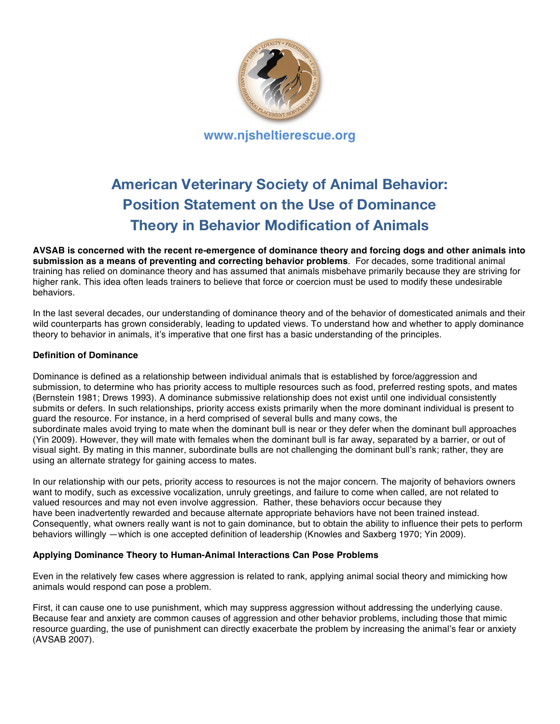

# **American Veterinary Society of Animal Behavior: Position Statement on the Use of Dominance Theory in Behavior Modification of Animals**

**AVSAB is concerned with the recent re-emergence of dominance theory and forcing dogs and other animals into submission as a means of preventing and correcting behavior problems**. For decades, some traditional animal training has relied on dominance theory and has assumed that animals misbehave primarily because they are striving for higher rank. This idea often leads trainers to believe that force or coercion must be used to modify these undesirable behaviors.

In the last several decades, our understanding of dominance theory and of the behavior of domesticated animals and their wild counterparts has grown considerably, leading to updated views. To understand how and whether to apply dominance theory to behavior in animals, it's imperative that one first has a basic understanding of the principles.

## **Definition of Dominance**

Dominance is defined as a relationship between individual animals that is established by force/aggression and submission, to determine who has priority access to multiple resources such as food, preferred resting spots, and mates (Bernstein 1981; Drews 1993). A dominance submissive relationship does not exist until one individual consistently submits or defers. In such relationships, priority access exists primarily when the more dominant individual is present to guard the resource. For instance, in a herd comprised of several bulls and many cows, the subordinate males avoid trying to mate when the dominant bull is near or they defer when the dominant bull approaches (Yin 2009). However, they will mate with females when the dominant bull is far away, separated by a barrier, or out of visual sight. By mating in this manner, subordinate bulls are not challenging the dominant bull's rank; rather, they are using an alternate strategy for gaining access to mates.

In our relationship with our pets, priority access to resources is not the major concern. The majority of behaviors owners want to modify, such as excessive vocalization, unruly greetings, and failure to come when called, are not related to valued resources and may not even involve aggression. Rather, these behaviors occur because they have been inadvertently rewarded and because alternate appropriate behaviors have not been trained instead. Consequently, what owners really want is not to gain dominance, but to obtain the ability to influence their pets to perform behaviors willingly —which is one accepted definition of leadership (Knowles and Saxberg 1970; Yin 2009).

# **Applying Dominance Theory to Human-Animal Interactions Can Pose Problems**

Even in the relatively few cases where aggression is related to rank, applying animal social theory and mimicking how animals would respond can pose a problem.

First, it can cause one to use punishment, which may suppress aggression without addressing the underlying cause. Because fear and anxiety are common causes of aggression and other behavior problems, including those that mimic resource guarding, the use of punishment can directly exacerbate the problem by increasing the animal's fear or anxiety (AVSAB 2007).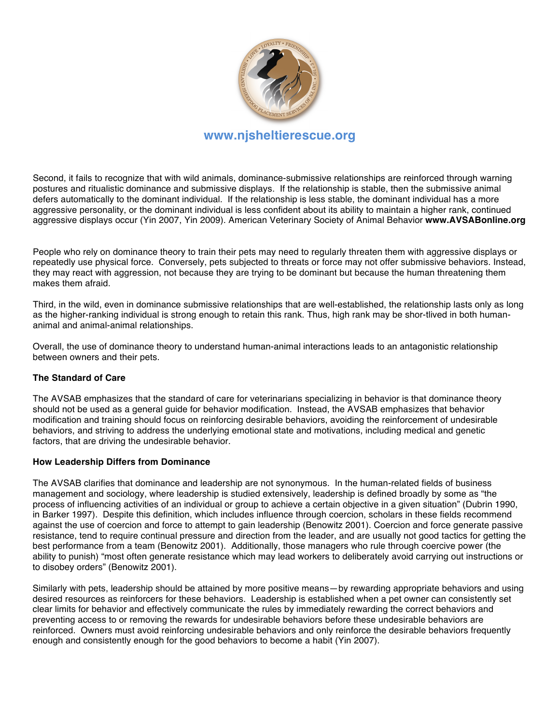

**www.njsheltierescue.org**

Second, it fails to recognize that with wild animals, dominance-submissive relationships are reinforced through warning postures and ritualistic dominance and submissive displays. If the relationship is stable, then the submissive animal defers automatically to the dominant individual. If the relationship is less stable, the dominant individual has a more aggressive personality, or the dominant individual is less confident about its ability to maintain a higher rank, continued aggressive displays occur (Yin 2007, Yin 2009). American Veterinary Society of Animal Behavior **www.AVSABonline.org**

People who rely on dominance theory to train their pets may need to regularly threaten them with aggressive displays or repeatedly use physical force. Conversely, pets subjected to threats or force may not offer submissive behaviors. Instead, they may react with aggression, not because they are trying to be dominant but because the human threatening them makes them afraid.

Third, in the wild, even in dominance submissive relationships that are well-established, the relationship lasts only as long as the higher-ranking individual is strong enough to retain this rank. Thus, high rank may be shor-tlived in both humananimal and animal-animal relationships.

Overall, the use of dominance theory to understand human-animal interactions leads to an antagonistic relationship between owners and their pets.

# **The Standard of Care**

The AVSAB emphasizes that the standard of care for veterinarians specializing in behavior is that dominance theory should not be used as a general guide for behavior modification. Instead, the AVSAB emphasizes that behavior modification and training should focus on reinforcing desirable behaviors, avoiding the reinforcement of undesirable behaviors, and striving to address the underlying emotional state and motivations, including medical and genetic factors, that are driving the undesirable behavior.

#### **How Leadership Differs from Dominance**

The AVSAB clarifies that dominance and leadership are not synonymous. In the human-related fields of business management and sociology, where leadership is studied extensively, leadership is defined broadly by some as "the process of influencing activities of an individual or group to achieve a certain objective in a given situation" (Dubrin 1990, in Barker 1997). Despite this definition, which includes influence through coercion, scholars in these fields recommend against the use of coercion and force to attempt to gain leadership (Benowitz 2001). Coercion and force generate passive resistance, tend to require continual pressure and direction from the leader, and are usually not good tactics for getting the best performance from a team (Benowitz 2001). Additionally, those managers who rule through coercive power (the ability to punish) "most often generate resistance which may lead workers to deliberately avoid carrying out instructions or to disobey orders" (Benowitz 2001).

Similarly with pets, leadership should be attained by more positive means—by rewarding appropriate behaviors and using desired resources as reinforcers for these behaviors. Leadership is established when a pet owner can consistently set clear limits for behavior and effectively communicate the rules by immediately rewarding the correct behaviors and preventing access to or removing the rewards for undesirable behaviors before these undesirable behaviors are reinforced. Owners must avoid reinforcing undesirable behaviors and only reinforce the desirable behaviors frequently enough and consistently enough for the good behaviors to become a habit (Yin 2007).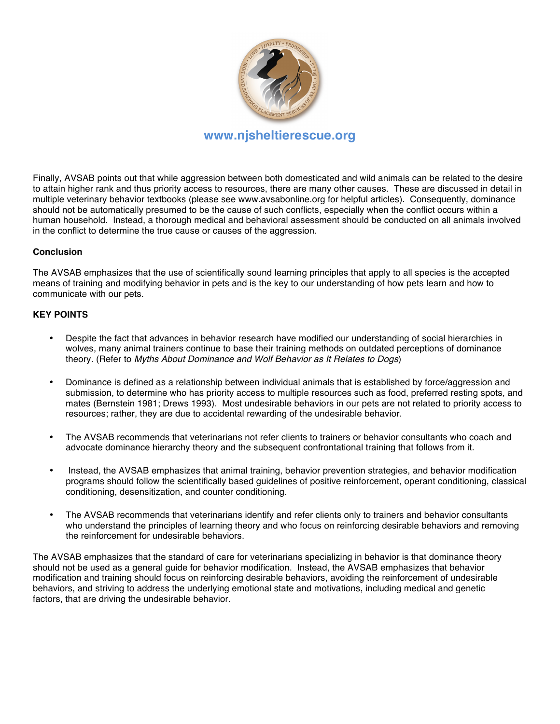

**www.njsheltierescue.org**

Finally, AVSAB points out that while aggression between both domesticated and wild animals can be related to the desire to attain higher rank and thus priority access to resources, there are many other causes. These are discussed in detail in multiple veterinary behavior textbooks (please see www.avsabonline.org for helpful articles). Consequently, dominance should not be automatically presumed to be the cause of such conflicts, especially when the conflict occurs within a human household. Instead, a thorough medical and behavioral assessment should be conducted on all animals involved in the conflict to determine the true cause or causes of the aggression.

# **Conclusion**

The AVSAB emphasizes that the use of scientifically sound learning principles that apply to all species is the accepted means of training and modifying behavior in pets and is the key to our understanding of how pets learn and how to communicate with our pets.

## **KEY POINTS**

- Despite the fact that advances in behavior research have modified our understanding of social hierarchies in wolves, many animal trainers continue to base their training methods on outdated perceptions of dominance theory. (Refer to *Myths About Dominance and Wolf Behavior as It Relates to Dogs*)
- Dominance is defined as a relationship between individual animals that is established by force/aggression and submission, to determine who has priority access to multiple resources such as food, preferred resting spots, and mates (Bernstein 1981; Drews 1993). Most undesirable behaviors in our pets are not related to priority access to resources; rather, they are due to accidental rewarding of the undesirable behavior.
- The AVSAB recommends that veterinarians not refer clients to trainers or behavior consultants who coach and advocate dominance hierarchy theory and the subsequent confrontational training that follows from it.
- Instead, the AVSAB emphasizes that animal training, behavior prevention strategies, and behavior modification programs should follow the scientifically based guidelines of positive reinforcement, operant conditioning, classical conditioning, desensitization, and counter conditioning.
- The AVSAB recommends that veterinarians identify and refer clients only to trainers and behavior consultants who understand the principles of learning theory and who focus on reinforcing desirable behaviors and removing the reinforcement for undesirable behaviors.

The AVSAB emphasizes that the standard of care for veterinarians specializing in behavior is that dominance theory should not be used as a general guide for behavior modification. Instead, the AVSAB emphasizes that behavior modification and training should focus on reinforcing desirable behaviors, avoiding the reinforcement of undesirable behaviors, and striving to address the underlying emotional state and motivations, including medical and genetic factors, that are driving the undesirable behavior.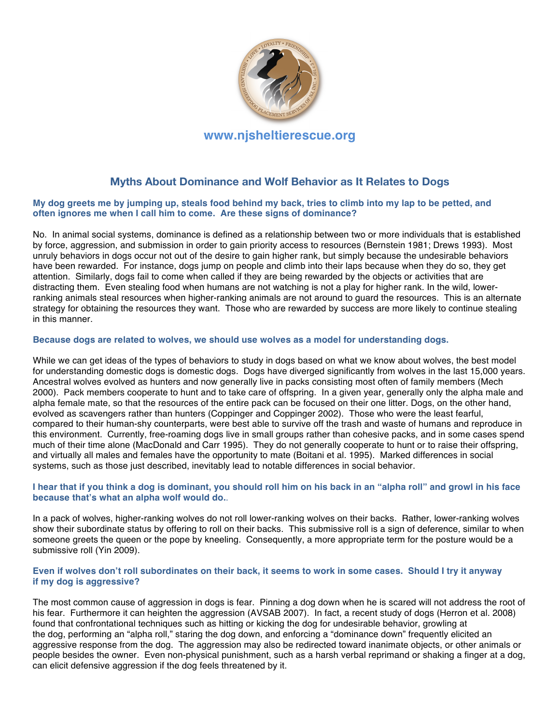

# **Myths About Dominance and Wolf Behavior as It Relates to Dogs**

#### **My dog greets me by jumping up, steals food behind my back, tries to climb into my lap to be petted, and often ignores me when I call him to come. Are these signs of dominance?**

No. In animal social systems, dominance is defined as a relationship between two or more individuals that is established by force, aggression, and submission in order to gain priority access to resources (Bernstein 1981; Drews 1993). Most unruly behaviors in dogs occur not out of the desire to gain higher rank, but simply because the undesirable behaviors have been rewarded. For instance, dogs jump on people and climb into their laps because when they do so, they get attention. Similarly, dogs fail to come when called if they are being rewarded by the objects or activities that are distracting them. Even stealing food when humans are not watching is not a play for higher rank. In the wild, lowerranking animals steal resources when higher-ranking animals are not around to guard the resources. This is an alternate strategy for obtaining the resources they want. Those who are rewarded by success are more likely to continue stealing in this manner.

#### **Because dogs are related to wolves, we should use wolves as a model for understanding dogs.**

While we can get ideas of the types of behaviors to study in dogs based on what we know about wolves, the best model for understanding domestic dogs is domestic dogs. Dogs have diverged significantly from wolves in the last 15,000 years. Ancestral wolves evolved as hunters and now generally live in packs consisting most often of family members (Mech 2000).Pack members cooperate to hunt and to take care of offspring. In a given year, generally only the alpha male and alpha female mate, so that the resources of the entire pack can be focused on their one litter. Dogs, on the other hand, evolved as scavengers rather than hunters (Coppinger and Coppinger 2002).Those who were the least fearful, compared to their human-shy counterparts, were best able to survive off the trash and waste of humans and reproduce in this environment. Currently, free-roaming dogs live in small groups rather than cohesive packs, and in some cases spend much of their time alone (MacDonald and Carr 1995). They do not generally cooperate to hunt or to raise their offspring, and virtually all males and females have the opportunity to mate (Boitani et al. 1995). Marked differences in social systems, such as those just described, inevitably lead to notable differences in social behavior.

#### **I hear that if you think a dog is dominant, you should roll him on his back in an "alpha roll" and growl in his face because that's what an alpha wolf would do.**.

In a pack of wolves, higher-ranking wolves do not roll lower-ranking wolves on their backs. Rather, lower-ranking wolves show their subordinate status by offering to roll on their backs. This submissive roll is a sign of deference, similar to when someone greets the queen or the pope by kneeling. Consequently, a more appropriate term for the posture would be a submissive roll (Yin 2009).

#### **Even if wolves don't roll subordinates on their back, it seems to work in some cases. Should I try it anyway if my dog is aggressive?**

The most common cause of aggression in dogs is fear. Pinning a dog down when he is scared will not address the root of his fear. Furthermore it can heighten the aggression (AVSAB 2007). In fact, a recent study of dogs (Herron et al. 2008) found that confrontational techniques such as hitting or kicking the dog for undesirable behavior, growling at the dog, performing an "alpha roll," staring the dog down, and enforcing a "dominance down" frequently elicited an aggressive response from the dog. The aggression may also be redirected toward inanimate objects, or other animals or people besides the owner. Even non-physical punishment, such as a harsh verbal reprimand or shaking a finger at a dog, can elicit defensive aggression if the dog feels threatened by it.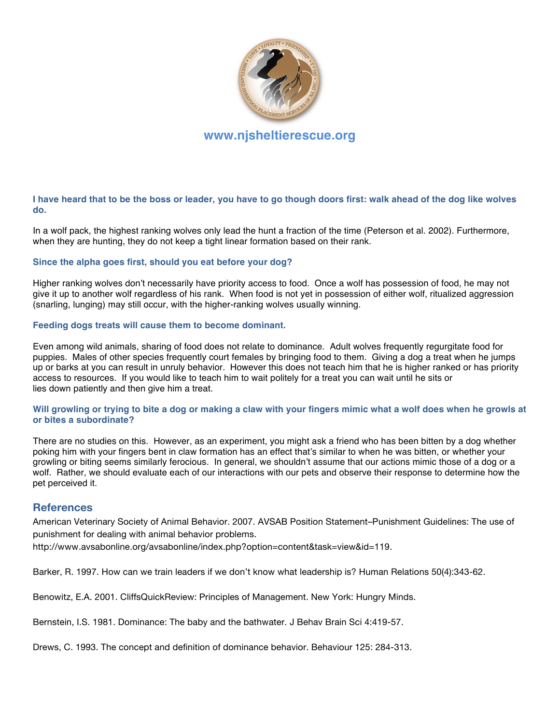

**I have heard that to be the boss or leader, you have to go though doors first: walk ahead of the dog like wolves do.**

In a wolf pack, the highest ranking wolves only lead the hunt a fraction of the time (Peterson et al. 2002). Furthermore, when they are hunting, they do not keep a tight linear formation based on their rank.

#### **Since the alpha goes first, should you eat before your dog?**

Higher ranking wolves don't necessarily have priority access to food. Once a wolf has possession of food, he may not give it up to another wolf regardless of his rank. When food is not yet in possession of either wolf, ritualized aggression (snarling, lunging) may still occur, with the higher-ranking wolves usually winning.

#### **Feeding dogs treats will cause them to become dominant.**

Even among wild animals, sharing of food does not relate to dominance. Adult wolves frequently regurgitate food for puppies. Males of other species frequently court females by bringing food to them. Giving a dog a treat when he jumps up or barks at you can result in unruly behavior.However this does not teach him that he is higher ranked or has priority access to resources.If you would like to teach him to wait politely for a treat you can wait until he sits or lies down patiently and then give him a treat.

#### **Will growling or trying to bite a dog or making a claw with your fingers mimic what a wolf does when he growls at or bites a subordinate?**

There are no studies on this. However, as an experiment, you might ask a friend who has been bitten by a dog whether poking him with your fingers bent in claw formation has an effect that's similar to when he was bitten, or whether your growling or biting seems similarly ferocious. In general, we shouldn't assume that our actions mimic those of a dog or a wolf. Rather, we should evaluate each of our interactions with our pets and observe their response to determine how the pet perceived it.

# **References**

American Veterinary Society of Animal Behavior. 2007. AVSAB Position Statement–Punishment Guidelines: The use of punishment for dealing with animal behavior problems.

http://www.avsabonline.org/avsabonline/index.php?option=content&task=view&id=119.

Barker, R. 1997. How can we train leaders if we don't know what leadership is? Human Relations 50(4):343-62.

Benowitz, E.A. 2001. CliffsQuickReview: Principles of Management. New York: Hungry Minds.

Bernstein, I.S. 1981. Dominance: The baby and the bathwater. J Behav Brain Sci 4:419-57.

Drews, C. 1993. The concept and definition of dominance behavior. Behaviour 125: 284-313.